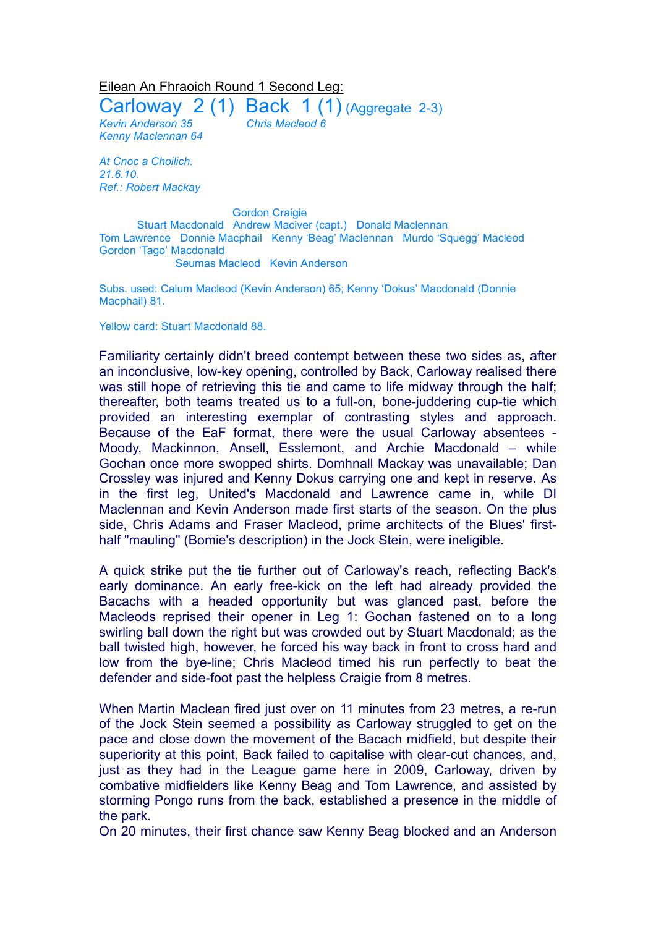## Eilean An Fhraoich Round 1 Second Leg:

Carloway  $2(1)$  Back  $1(1)$  (Aggregate 2-3) *Kevin Anderson 35 Chris Macleod 6 Kenny Maclennan 64*

*At Cnoc a Choilich. 21.6.10. Ref.: Robert Mackay*

Gordon Craigie Stuart Macdonald Andrew Maciver (capt.) Donald Maclennan Tom Lawrence Donnie Macphail Kenny 'Beag' Maclennan Murdo 'Squegg' Macleod Gordon 'Tago' Macdonald Seumas Macleod Kevin Anderson

Subs. used: Calum Macleod (Kevin Anderson) 65; Kenny 'Dokus' Macdonald (Donnie Macphail) 81.

Yellow card: Stuart Macdonald 88.

Familiarity certainly didn't breed contempt between these two sides as, after an inconclusive, low-key opening, controlled by Back, Carloway realised there was still hope of retrieving this tie and came to life midway through the half; thereafter, both teams treated us to a full-on, bone-juddering cup-tie which provided an interesting exemplar of contrasting styles and approach. Because of the EaF format, there were the usual Carloway absentees - Moody, Mackinnon, Ansell, Esslemont, and Archie Macdonald – while Gochan once more swopped shirts. Domhnall Mackay was unavailable; Dan Crossley was injured and Kenny Dokus carrying one and kept in reserve. As in the first leg, United's Macdonald and Lawrence came in, while DI Maclennan and Kevin Anderson made first starts of the season. On the plus side, Chris Adams and Fraser Macleod, prime architects of the Blues' firsthalf "mauling" (Bomie's description) in the Jock Stein, were ineligible.

A quick strike put the tie further out of Carloway's reach, reflecting Back's early dominance. An early free-kick on the left had already provided the Bacachs with a headed opportunity but was glanced past, before the Macleods reprised their opener in Leg 1: Gochan fastened on to a long swirling ball down the right but was crowded out by Stuart Macdonald; as the ball twisted high, however, he forced his way back in front to cross hard and low from the bye-line; Chris Macleod timed his run perfectly to beat the defender and side-foot past the helpless Craigie from 8 metres.

When Martin Maclean fired just over on 11 minutes from 23 metres, a re-run of the Jock Stein seemed a possibility as Carloway struggled to get on the pace and close down the movement of the Bacach midfield, but despite their superiority at this point, Back failed to capitalise with clear-cut chances, and, just as they had in the League game here in 2009, Carloway, driven by combative midfielders like Kenny Beag and Tom Lawrence, and assisted by storming Pongo runs from the back, established a presence in the middle of the park.

On 20 minutes, their first chance saw Kenny Beag blocked and an Anderson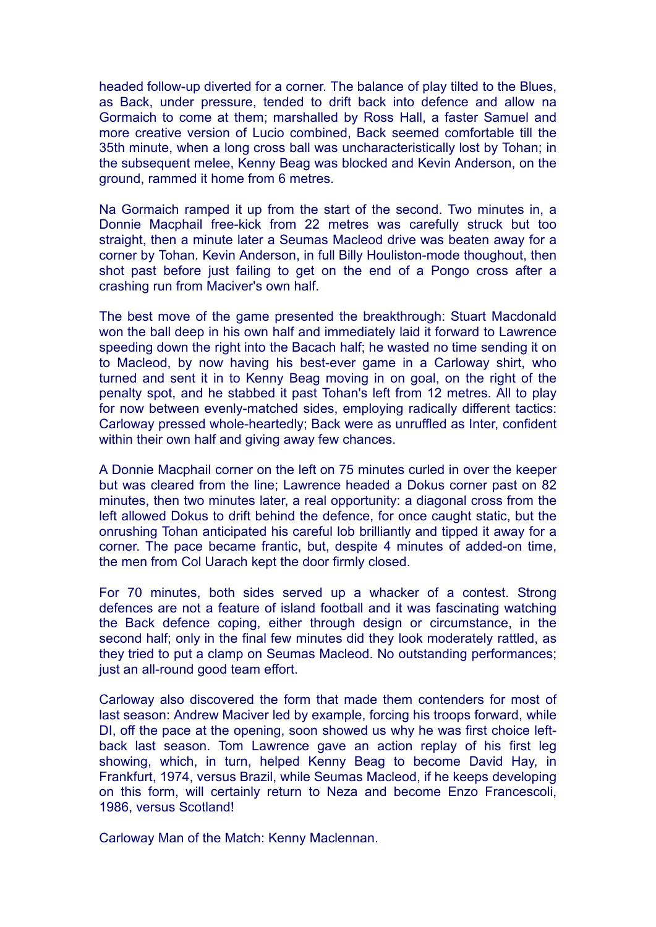headed follow-up diverted for a corner. The balance of play tilted to the Blues, as Back, under pressure, tended to drift back into defence and allow na Gormaich to come at them; marshalled by Ross Hall, a faster Samuel and more creative version of Lucio combined, Back seemed comfortable till the 35th minute, when a long cross ball was uncharacteristically lost by Tohan; in the subsequent melee, Kenny Beag was blocked and Kevin Anderson, on the ground, rammed it home from 6 metres.

Na Gormaich ramped it up from the start of the second. Two minutes in, a Donnie Macphail free-kick from 22 metres was carefully struck but too straight, then a minute later a Seumas Macleod drive was beaten away for a corner by Tohan. Kevin Anderson, in full Billy Houliston-mode thoughout, then shot past before just failing to get on the end of a Pongo cross after a crashing run from Maciver's own half.

The best move of the game presented the breakthrough: Stuart Macdonald won the ball deep in his own half and immediately laid it forward to Lawrence speeding down the right into the Bacach half; he wasted no time sending it on to Macleod, by now having his best-ever game in a Carloway shirt, who turned and sent it in to Kenny Beag moving in on goal, on the right of the penalty spot, and he stabbed it past Tohan's left from 12 metres. All to play for now between evenly-matched sides, employing radically different tactics: Carloway pressed whole-heartedly; Back were as unruffled as Inter, confident within their own half and giving away few chances.

A Donnie Macphail corner on the left on 75 minutes curled in over the keeper but was cleared from the line; Lawrence headed a Dokus corner past on 82 minutes, then two minutes later, a real opportunity: a diagonal cross from the left allowed Dokus to drift behind the defence, for once caught static, but the onrushing Tohan anticipated his careful lob brilliantly and tipped it away for a corner. The pace became frantic, but, despite 4 minutes of added-on time, the men from Col Uarach kept the door firmly closed.

For 70 minutes, both sides served up a whacker of a contest. Strong defences are not a feature of island football and it was fascinating watching the Back defence coping, either through design or circumstance, in the second half; only in the final few minutes did they look moderately rattled, as they tried to put a clamp on Seumas Macleod. No outstanding performances; just an all-round good team effort.

Carloway also discovered the form that made them contenders for most of last season: Andrew Maciver led by example, forcing his troops forward, while DI, off the pace at the opening, soon showed us why he was first choice leftback last season. Tom Lawrence gave an action replay of his first leg showing, which, in turn, helped Kenny Beag to become David Hay, in Frankfurt, 1974, versus Brazil, while Seumas Macleod, if he keeps developing on this form, will certainly return to Neza and become Enzo Francescoli, 1986, versus Scotland!

Carloway Man of the Match: Kenny Maclennan.